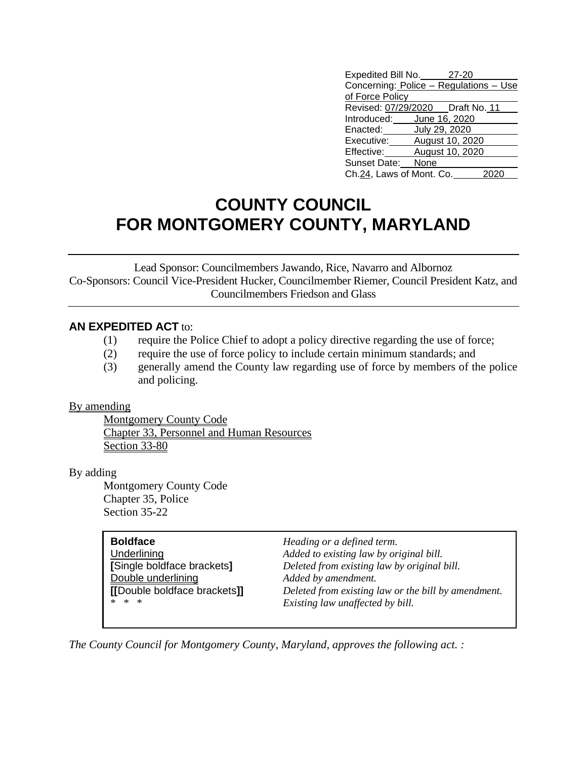| Expedited Bill No.                     |      | 27-20           |  |
|----------------------------------------|------|-----------------|--|
| Concerning: Police - Regulations - Use |      |                 |  |
| of Force Policy                        |      |                 |  |
| Revised: 07/29/2020   Draft No. 11     |      |                 |  |
| Introduced: June 16, 2020              |      |                 |  |
| Enacted:                               |      | July 29, 2020   |  |
| Executive:                             |      | August 10, 2020 |  |
| Effective:                             |      | August 10, 2020 |  |
| Sunset Date:                           | None |                 |  |
| Ch.24, Laws of Mont. Co.               |      |                 |  |

## **COUNTY COUNCIL FOR MONTGOMERY COUNTY, MARYLAND**

Lead Sponsor: Councilmembers Jawando, Rice, Navarro and Albornoz Co-Sponsors: Council Vice-President Hucker, Councilmember Riemer, Council President Katz, and Councilmembers Friedson and Glass

## **AN EXPEDITED ACT** to:

- (1) require the Police Chief to adopt a policy directive regarding the use of force;
- (2) require the use of force policy to include certain minimum standards; and
- (3) generally amend the County law regarding use of force by members of the police and policing.

## By amending

Montgomery County Code Chapter 33, Personnel and Human Resources Section 33-80

By adding

Montgomery County Code Chapter 35, Police Section 35-22

| <b>Boldface</b>             | Heading or a defined term.                          |
|-----------------------------|-----------------------------------------------------|
| Underlining                 | Added to existing law by original bill.             |
| [Single boldface brackets]  | Deleted from existing law by original bill.         |
| Double underlining          | Added by amendment.                                 |
| [Double boldface brackets]] | Deleted from existing law or the bill by amendment. |
| * * *                       | Existing law unaffected by bill.                    |
|                             |                                                     |

*The County Council for Montgomery County, Maryland, approves the following act. :*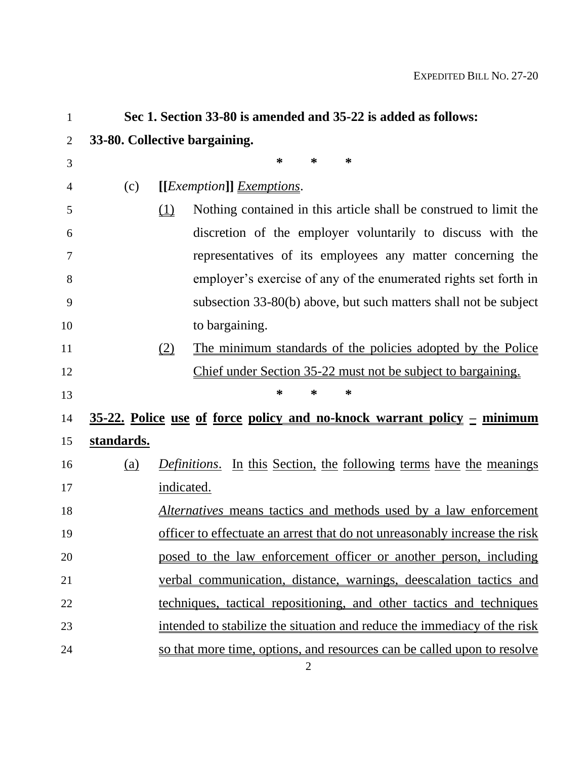| $\mathbf{1}$   |            | Sec 1. Section 33-80 is amended and 35-22 is added as follows:                    |
|----------------|------------|-----------------------------------------------------------------------------------|
| $\overline{2}$ |            | 33-80. Collective bargaining.                                                     |
| 3              |            | ∗<br>∗<br>∗                                                                       |
| 4              | (c)        | [[ <i>Exemption</i> ]] <i>Exemptions</i> .                                        |
| 5              |            | Nothing contained in this article shall be construed to limit the<br>(1)          |
| 6              |            | discretion of the employer voluntarily to discuss with the                        |
| 7              |            | representatives of its employees any matter concerning the                        |
| 8              |            | employer's exercise of any of the enumerated rights set forth in                  |
| 9              |            | subsection 33-80(b) above, but such matters shall not be subject                  |
| 10             |            | to bargaining.                                                                    |
| 11             |            | The minimum standards of the policies adopted by the Police<br>(2)                |
| 12             |            | Chief under Section 35-22 must not be subject to bargaining.                      |
| 13             |            | ∗<br>∗<br>∗                                                                       |
| 14             |            | <u>35-22. Police use of force policy and no-knock warrant policy – minimum</u>    |
| 15             | standards. |                                                                                   |
| 16             | (a)        | <i>Definitions.</i> In this Section, the following terms have the meanings        |
| 17             |            | indicated.                                                                        |
| 18             |            | <i>Alternatives</i> means tactics and methods used by a law enforcement           |
| 19             |            | <u>officer to effectuate an arrest that do not unreasonably increase the risk</u> |
| 20             |            | posed to the law enforcement officer or another person, including                 |
| 21             |            | verbal communication, distance, warnings, deescalation tactics and                |
| 22             |            | techniques, tactical repositioning, and other tactics and techniques              |
| 23             |            | intended to stabilize the situation and reduce the immediacy of the risk          |
| 24             |            | so that more time, options, and resources can be called upon to resolve           |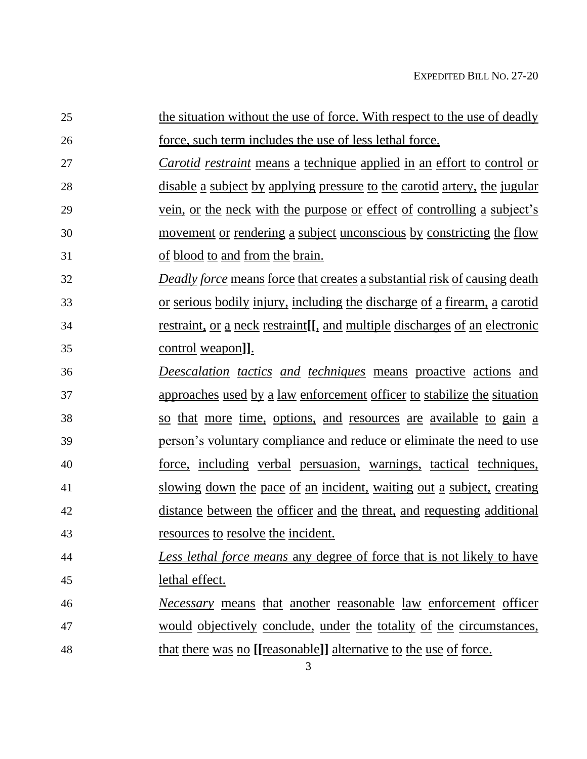| 25 | the situation without the use of force. With respect to the use of deadly        |
|----|----------------------------------------------------------------------------------|
| 26 | force, such term includes the use of less lethal force.                          |
| 27 | <i>Carotid restraint</i> means a technique applied in an effort to control or    |
| 28 | <u>disable a subject by applying pressure to the carotid artery, the jugular</u> |
| 29 | vein, or the neck with the purpose or effect of controlling a subject's          |
| 30 | <u>movement or rendering a subject unconscious by constricting the flow</u>      |
| 31 | of blood to and from the brain.                                                  |
| 32 | <b>Deadly force means force that creates a substantial risk of causing death</b> |
| 33 | <u>or serious bodily injury, including the discharge of a firearm, a carotid</u> |
| 34 | restraint, or a neck restraint [[, and multiple discharges of an electronic      |
| 35 | <u>control</u> weapon]].                                                         |
| 36 | Deescalation tactics and techniques means proactive actions and                  |
| 37 | <u>approaches used by a law enforcement officer to stabilize the situation</u>   |
| 38 | so that more time, options, and resources are available to gain a                |
| 39 | person's voluntary compliance and reduce or eliminate the need to use            |
| 40 | <u>force, including verbal persuasion, warnings, tactical techniques,</u>        |
| 41 | slowing down the pace of an incident, waiting out a subject, creating            |
| 42 | distance between the officer and the threat, and requesting additional           |
| 43 | <u>resources</u> to resolve the incident.                                        |
| 44 | Less lethal force means any degree of force that is not likely to have           |
| 45 | lethal effect.                                                                   |
| 46 | <u>Necessary</u> means that another reasonable law enforcement officer           |
| 47 | would objectively conclude, under the totality of the circumstances,             |
| 48 | <u>that there was no [[reasonable]] alternative to the use of force.</u>         |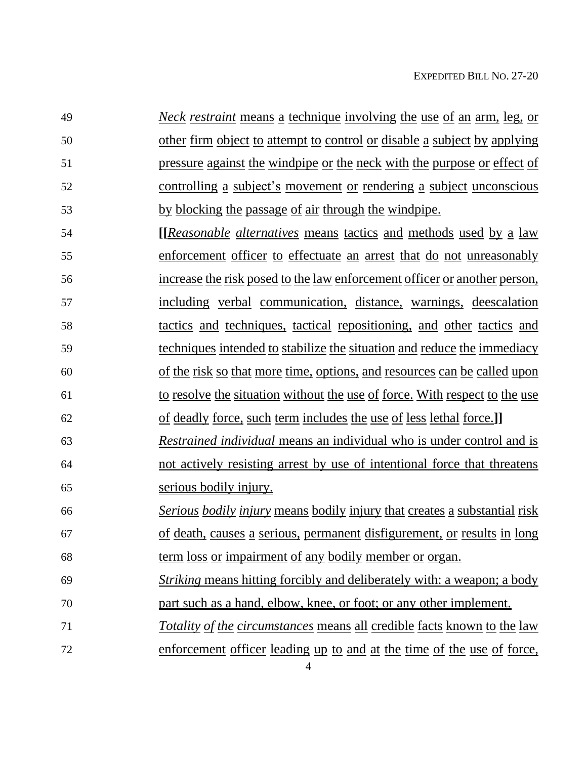*Neck restraint* means a technique involving the use of an arm, leg, or other firm object to attempt to control or disable a subject by applying pressure against the windpipe or the neck with the purpose or effect of controlling a subject's movement or rendering a subject unconscious 53 by blocking the passage of air through the windpipe.

 **[[***Reasonable alternatives* means tactics and methods used by a law enforcement officer to effectuate an arrest that do not unreasonably increase the risk posed to the law enforcement officer or another person, including verbal communication, distance, warnings, deescalation tactics and techniques, tactical repositioning, and other tactics and techniques intended to stabilize the situation and reduce the immediacy of the risk so that more time, options, and resources can be called upon to resolve the situation without the use of force. With respect to the use

- of deadly force, such term includes the use of less lethal force.**]]** *Restrained individual* means an individual who is under control and is not actively resisting arrest by use of intentional force that threatens serious bodily injury.
- *Serious bodily injury* means bodily injury that creates a substantial risk of death, causes a serious, permanent disfigurement, or results in long term loss or impairment of any bodily member or organ.
- *Striking* means hitting forcibly and deliberately with: a weapon; a body part such as a hand, elbow, knee, or foot; or any other implement.
- *Totality of the circumstances* means all credible facts known to the law
- enforcement officer leading up to and at the time of the use of force,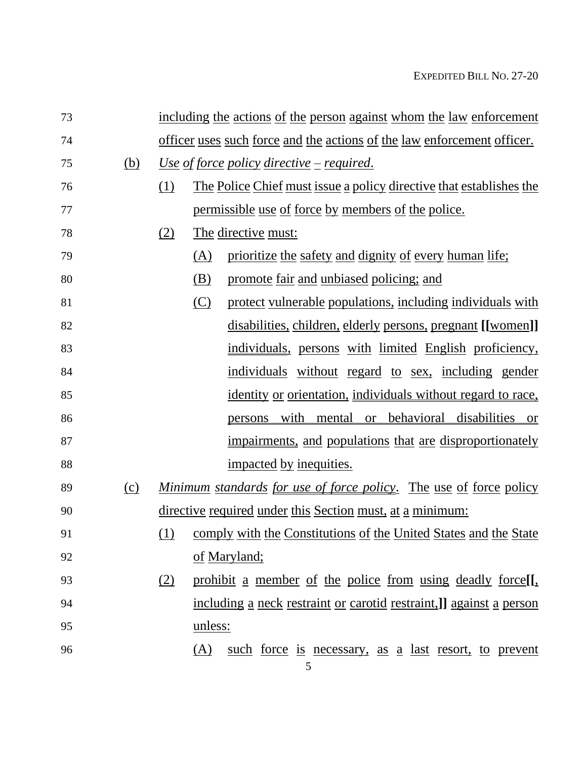| 73 |            |     |         | including the actions of the person against whom the law enforcement           |
|----|------------|-----|---------|--------------------------------------------------------------------------------|
| 74 |            |     |         | <u>officer uses such force and the actions of the law enforcement officer.</u> |
| 75 | <u>(b)</u> |     |         | <u><i>Use of force policy directive – required.</i></u>                        |
| 76 |            | (1) |         | <u>The Police Chief must issue a policy directive that establishes the</u>     |
| 77 |            |     |         | <u>permissible use of force by members of the police.</u>                      |
| 78 |            | (2) |         | The directive must:                                                            |
| 79 |            |     | (A)     | prioritize the safety and dignity of every human life;                         |
| 80 |            |     | (B)     | promote fair and unbiased policing; and                                        |
| 81 |            |     | (C)     | protect vulnerable populations, including individuals with                     |
| 82 |            |     |         | disabilities, children, elderly persons, pregnant [[women]]                    |
| 83 |            |     |         | individuals, persons with limited English proficiency,                         |
| 84 |            |     |         | individuals without regard to sex, including gender                            |
| 85 |            |     |         | identity or orientation, individuals without regard to race,                   |
| 86 |            |     |         | persons with mental or behavioral disabilities or                              |
| 87 |            |     |         | impairments, and populations that are disproportionately                       |
| 88 |            |     |         | impacted by inequities.                                                        |
| 89 | (c)        |     |         | <u>Minimum standards for use of force policy. The use of force policy</u>      |
| 90 |            |     |         | directive required under this Section must, at a minimum:                      |
| 91 |            | (1) |         | comply with the Constitutions of the United States and the State               |
| 92 |            |     |         | of Maryland;                                                                   |
| 93 |            | (2) |         | prohibit a member of the police from using deadly force.                       |
| 94 |            |     |         | including a neck restraint or carotid restraint.]] against a person            |
| 95 |            |     | unless: |                                                                                |
| 96 |            |     | (A)     | such force is necessary, as a last resort, to prevent<br>5                     |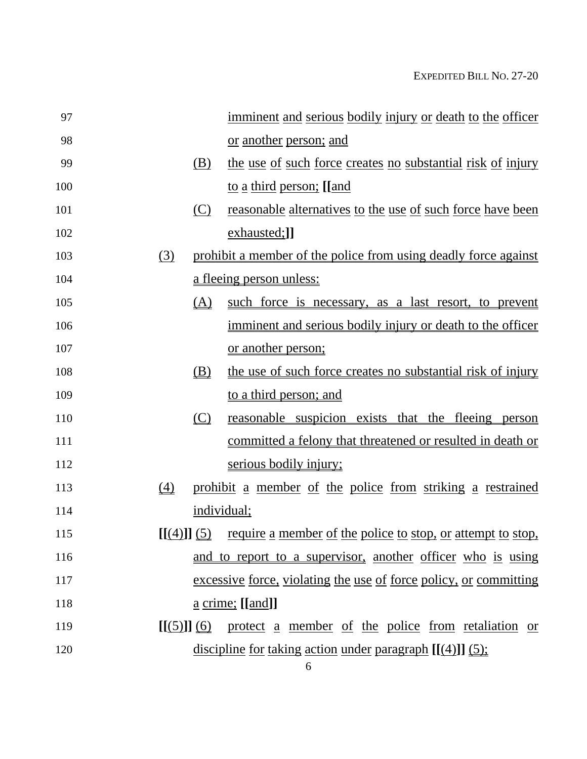| 97  | <u>imminent and serious bodily injury or death to the officer</u>         |
|-----|---------------------------------------------------------------------------|
| 98  | or another person; and                                                    |
| 99  | the use of such force creates no substantial risk of injury<br>(B)        |
| 100 | <u>to a third person; [[and</u>                                           |
| 101 | <u>reasonable alternatives to the use of such force have been</u><br>(C)  |
| 102 | exhausted;]]                                                              |
| 103 | prohibit a member of the police from using deadly force against<br>(3)    |
| 104 | <u>a fleeing person unless:</u>                                           |
| 105 | (A)<br>such force is necessary, as a last resort, to prevent              |
| 106 | imminent and serious bodily injury or death to the officer                |
| 107 | or another person;                                                        |
| 108 | the use of such force creates no substantial risk of injury<br>(B)        |
| 109 | to a third person; and                                                    |
| 110 | reasonable suspicion exists that the fleeing person<br>(C)                |
| 111 | committed a felony that threatened or resulted in death or                |
| 112 | serious bodily injury;                                                    |
| 113 | (4)<br>prohibit a member of the police from striking a restrained         |
| 114 | individual;                                                               |
| 115 | require a member of the police to stop, or attempt to stop,<br>[[(4)]](5) |
| 116 | and to report to a supervisor, another officer who is using               |
| 117 | excessive force, violating the use of force policy, or committing         |
| 118 | $\underline{a}$ crime; [[and]]                                            |
| 119 | $[(5)]$ (6) protect a member of the police from retaliation or            |
| 120 | discipline for taking action under paragraph $[(4)]$ $(5)$ ;              |

6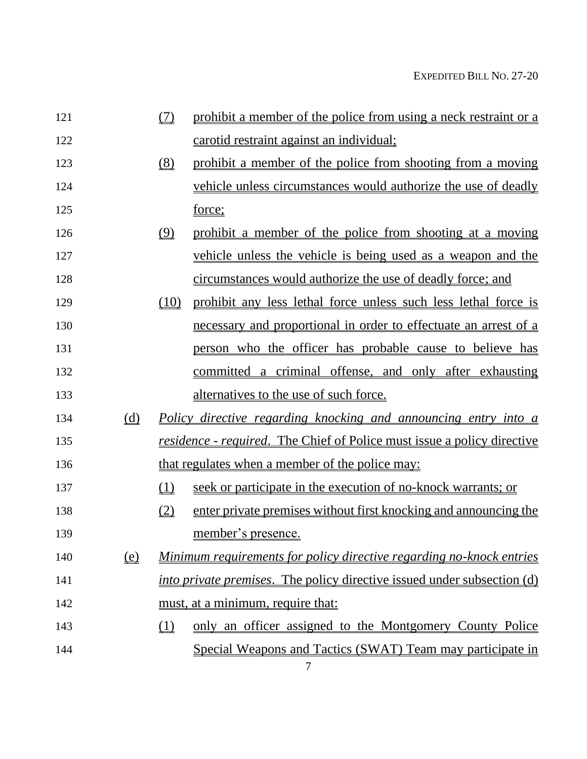| 121 |                                        | (7)  | prohibit a member of the police from using a neck restraint or a               |
|-----|----------------------------------------|------|--------------------------------------------------------------------------------|
| 122 |                                        |      | carotid restraint against an individual;                                       |
| 123 |                                        | (8)  | prohibit a member of the police from shooting from a moving                    |
| 124 |                                        |      | vehicle unless circumstances would authorize the use of deadly                 |
| 125 |                                        |      | force;                                                                         |
| 126 |                                        | (9)  | prohibit a member of the police from shooting at a moving                      |
| 127 |                                        |      | <u>vehicle unless the vehicle is being used as a weapon and the</u>            |
| 128 |                                        |      | circumstances would authorize the use of deadly force; and                     |
| 129 |                                        | (10) | prohibit any less lethal force unless such less lethal force is                |
| 130 |                                        |      | necessary and proportional in order to effectuate an arrest of a               |
| 131 |                                        |      | person who the officer has probable cause to believe has                       |
| 132 |                                        |      | committed a criminal offense, and only after exhausting                        |
| 133 |                                        |      | alternatives to the use of such force.                                         |
| 134 | (d)                                    |      | <u>Policy directive regarding knocking and announcing entry into a</u>         |
| 135 |                                        |      | <u>residence - required. The Chief of Police must issue a policy directive</u> |
| 136 |                                        |      | that regulates when a member of the police may:                                |
| 137 |                                        | (1)  | seek or participate in the execution of no-knock warrants; or                  |
| 138 |                                        | (2)  | enter private premises without first knocking and announcing the               |
| 139 |                                        |      | member's presence.                                                             |
| 140 | $\underline{\underline{\mathrm{(e)}}}$ |      | Minimum requirements for policy directive regarding no-knock entries           |
| 141 |                                        |      | <i>into private premises.</i> The policy directive issued under subsection (d) |
| 142 |                                        |      | must, at a minimum, require that:                                              |
| 143 |                                        | (1)  | only an officer assigned to the Montgomery County Police                       |
| 144 |                                        |      | Special Weapons and Tactics (SWAT) Team may participate in<br>7                |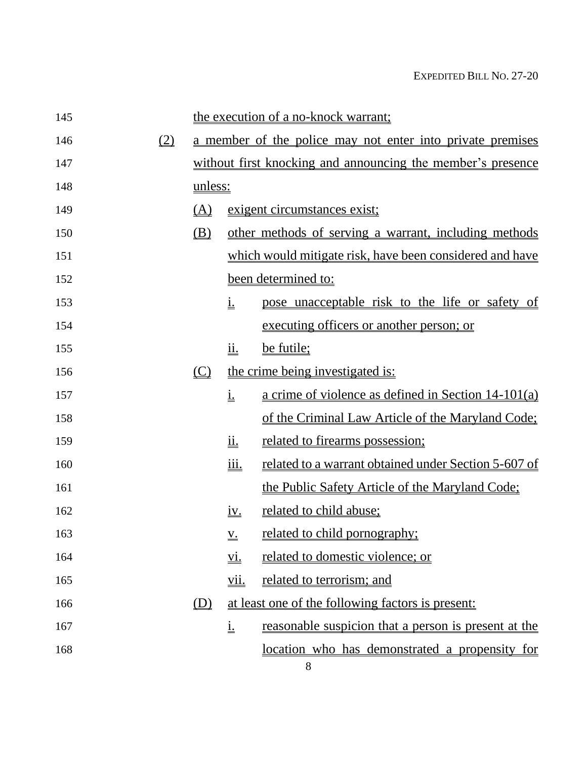| 145 |                  |                          |                             | the execution of a no-knock warrant;                        |
|-----|------------------|--------------------------|-----------------------------|-------------------------------------------------------------|
| 146 | $\left(2\right)$ |                          |                             | a member of the police may not enter into private premises  |
| 147 |                  |                          |                             | without first knocking and announcing the member's presence |
| 148 |                  | <u>unless:</u>           |                             |                                                             |
| 149 |                  | (A)                      |                             | exigent circumstances exist;                                |
| 150 |                  | <u>(B)</u>               |                             | other methods of serving a warrant, including methods       |
| 151 |                  |                          |                             | which would mitigate risk, have been considered and have    |
| 152 |                  |                          |                             | been determined to:                                         |
| 153 |                  |                          | <u>i.</u>                   | pose unacceptable risk to the life or safety of             |
| 154 |                  |                          |                             | executing officers or another person; or                    |
| 155 |                  |                          | <u>ii.</u>                  | be futile;                                                  |
| 156 |                  | $\underline{\mathbb{C}}$ |                             | the crime being investigated is:                            |
| 157 |                  |                          | $\underline{\underline{1}}$ | a crime of violence as defined in Section $14-101(a)$       |
| 158 |                  |                          |                             | of the Criminal Law Article of the Maryland Code;           |
| 159 |                  |                          | <u>іі.</u>                  | related to firearms possession;                             |
| 160 |                  |                          | <u>iii.</u>                 | related to a warrant obtained under Section 5-607 of        |
| 161 |                  |                          |                             | the Public Safety Article of the Maryland Code;             |
| 162 |                  |                          | <u>iv.</u>                  | <u>related to child abuse;</u>                              |
| 163 |                  |                          | $\underline{\underline{V}}$ | <u>related to child pornography;</u>                        |
| 164 |                  |                          | <u>vi.</u>                  | related to domestic violence; or                            |
| 165 |                  |                          | <u>vii.</u>                 | related to terrorism; and                                   |
| 166 |                  | (D)                      |                             | at least one of the following factors is present:           |
| 167 |                  |                          | $\underline{\underline{1}}$ | reasonable suspicion that a person is present at the        |
| 168 |                  |                          |                             | <u>location who has demonstrated a propensity for</u>       |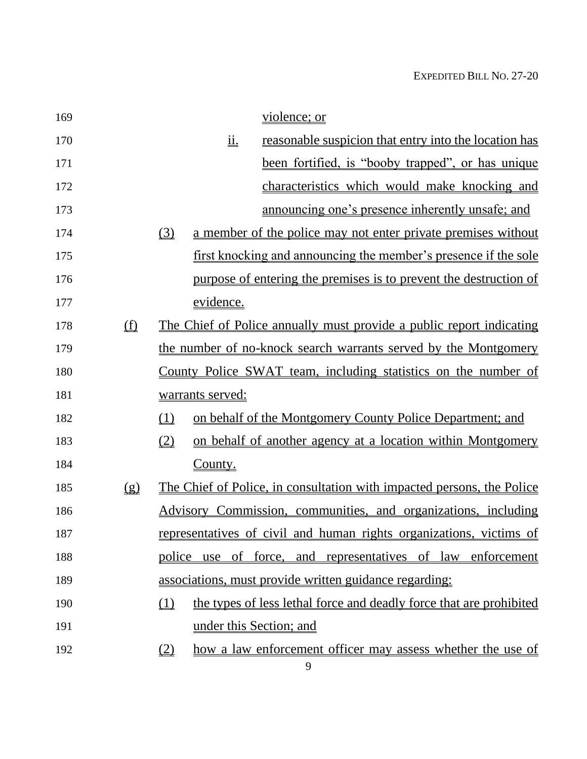| 169 |                                | violence; or                                                                              |
|-----|--------------------------------|-------------------------------------------------------------------------------------------|
| 170 |                                | $\underline{\text{ii}}$ .<br><u>reasonable suspicion that entry into the location has</u> |
| 171 |                                | been fortified, is "booby trapped", or has unique                                         |
| 172 |                                | characteristics which would make knocking and                                             |
| 173 |                                | announcing one's presence inherently unsafe; and                                          |
| 174 |                                | (3)<br>a member of the police may not enter private premises without                      |
| 175 |                                | <u>first knocking and announcing the member's presence if the sole</u>                    |
| 176 |                                | purpose of entering the premises is to prevent the destruction of                         |
| 177 |                                | evidence.                                                                                 |
| 178 | $\underline{\bigoplus}$        | The Chief of Police annually must provide a public report indicating                      |
| 179 |                                | the number of no-knock search warrants served by the Montgomery                           |
| 180 |                                | County Police SWAT team, including statistics on the number of                            |
| 181 |                                | warrants served:                                                                          |
| 182 |                                | on behalf of the Montgomery County Police Department; and<br>(1)                          |
| 183 |                                | (2)<br>on behalf of another agency at a location within Montgomery                        |
| 184 |                                | County.                                                                                   |
| 185 | $\left( \underline{g} \right)$ | The Chief of Police, in consultation with impacted persons, the Police                    |
| 186 |                                | Advisory Commission, communities, and organizations, including                            |
| 187 |                                | representatives of civil and human rights organizations, victims of                       |
| 188 |                                | police use of force, and representatives of law enforcement                               |
| 189 |                                | associations, must provide written guidance regarding:                                    |
| 190 |                                | (1)<br>the types of less lethal force and deadly force that are prohibited                |
| 191 |                                | under this Section; and                                                                   |
| 192 |                                | how a law enforcement officer may assess whether the use of<br>$\left(2\right)$           |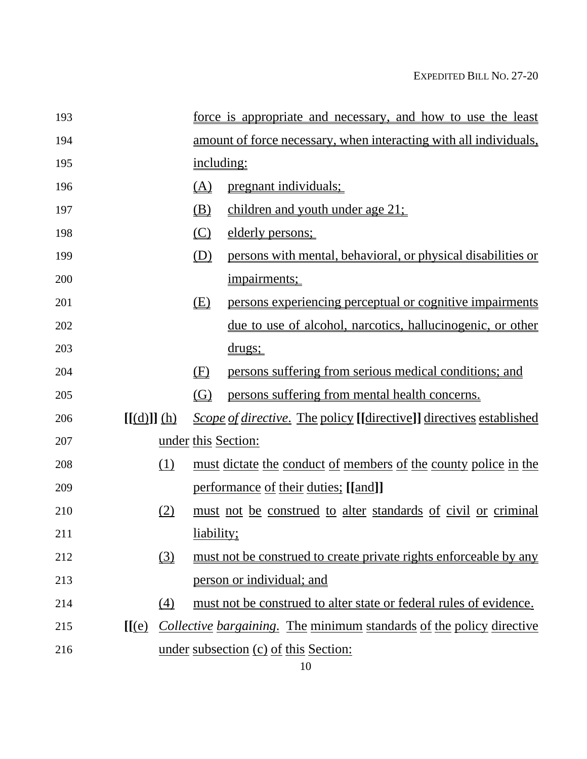| 193 |                          |     |                      | force is appropriate and necessary, and how to use the least                                          |
|-----|--------------------------|-----|----------------------|-------------------------------------------------------------------------------------------------------|
| 194 |                          |     |                      | amount of force necessary, when interacting with all individuals,                                     |
| 195 |                          |     | including:           |                                                                                                       |
| 196 |                          |     | <u>(A)</u>           | <u>pregnant individuals;</u>                                                                          |
| 197 |                          |     | <u>(B)</u>           | children and youth under age 21;                                                                      |
| 198 |                          |     | (C)                  | elderly persons;                                                                                      |
| 199 |                          |     | (D)                  | persons with mental, behavioral, or physical disabilities or                                          |
| 200 |                          |     |                      | impairments;                                                                                          |
| 201 |                          |     | <u>(E)</u>           | persons experiencing perceptual or cognitive impairments                                              |
| 202 |                          |     |                      | <u>due to use of alcohol, narcotics, hallucinogenic, or other</u>                                     |
| 203 |                          |     |                      | <u>drugs;</u>                                                                                         |
| 204 |                          |     | (F)                  | persons suffering from serious medical conditions; and                                                |
| 205 |                          |     | $\left($ G $\right)$ | persons suffering from mental health concerns.                                                        |
| 206 | $[[(d)]](\underline{h})$ |     |                      | <i><u>Scope of directive. The policy [[directive]] directives established scope of directives</u></i> |
| 207 |                          |     |                      | <u>under this Section:</u>                                                                            |
| 208 |                          | (1) |                      | <u>must dictate the conduct of members of the county police in the</u>                                |
| 209 |                          |     |                      | performance of their duties; [[and]]                                                                  |
| 210 |                          | (2) |                      | must not be construed to alter standards of civil or criminal                                         |
| 211 |                          |     | <u>liability;</u>    |                                                                                                       |
| 212 |                          | (3) |                      | must not be construed to create private rights enforceable by any                                     |
| 213 |                          |     |                      | person or individual; and                                                                             |
| 214 |                          | (4) |                      | must not be construed to alter state or federal rules of evidence.                                    |
| 215 | [[(e)]                   |     |                      | <i>Collective bargaining.</i> The minimum standards of the policy directive                           |
| 216 |                          |     |                      | under subsection (c) of this Section:                                                                 |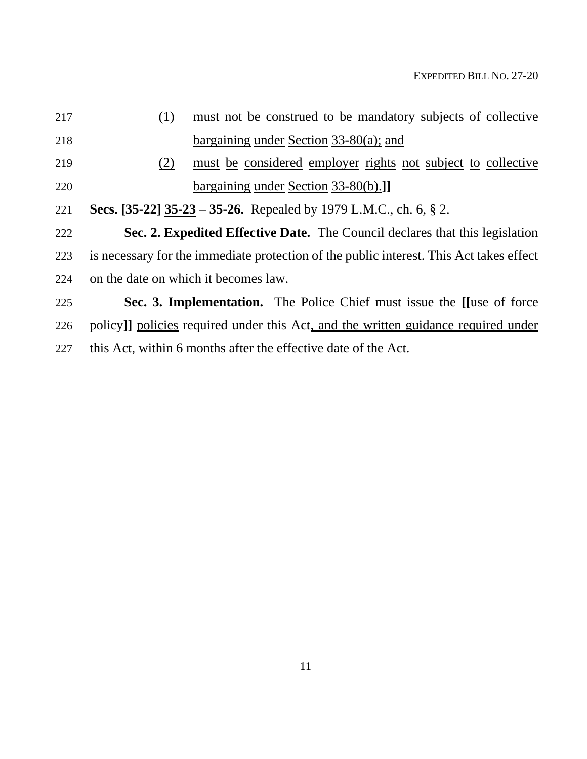| 217 | (1) | <u>must not be construed to be mandatory subjects of collective</u>                     |
|-----|-----|-----------------------------------------------------------------------------------------|
| 218 |     | bargaining under Section $33-80(a)$ ; and                                               |
| 219 | (2) | must be considered employer rights not subject to collective                            |
| 220 |     | bargaining under Section 33-80(b).]                                                     |
| 221 |     | Secs. [35-22] 35-23 – 35-26. Repealed by 1979 L.M.C., ch. 6, § 2.                       |
| 222 |     | Sec. 2. Expedited Effective Date. The Council declares that this legislation            |
| 223 |     | is necessary for the immediate protection of the public interest. This Act takes effect |
| 224 |     | on the date on which it becomes law.                                                    |
| 225 |     | Sec. 3. Implementation. The Police Chief must issue the Huse of force                   |
| 226 |     | policy]] policies required under this Act, and the written guidance required under      |
| 227 |     | this Act, within 6 months after the effective date of the Act.                          |